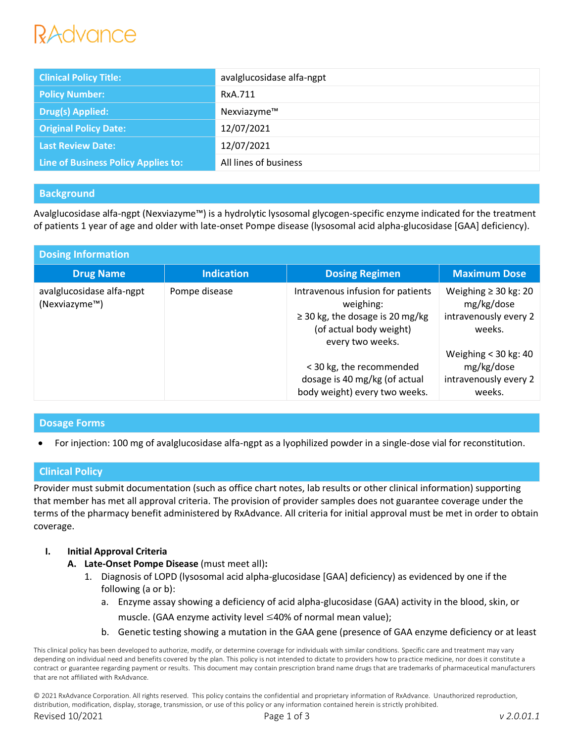# RAdvance

| <b>Clinical Policy Title:</b>       | avalglucosidase alfa-ngpt |
|-------------------------------------|---------------------------|
| <b>Policy Number:</b>               | RxA.711                   |
| <b>Drug(s) Applied:</b>             | Nexviazyme™               |
| <b>Original Policy Date:</b>        | 12/07/2021                |
| <b>Last Review Date:</b>            | 12/07/2021                |
| Line of Business Policy Applies to: | All lines of business     |

# **Background**

Avalglucosidase alfa-ngpt (Nexviazyme™) is a hydrolytic lysosomal glycogen-specific enzyme indicated for the treatment of patients 1 year of age and older with late-onset Pompe disease (lysosomal acid alpha-glucosidase [GAA] deficiency).

| <b>Dosing Information</b>                  |                   |                                                                                                                                       |                                                                            |  |  |  |
|--------------------------------------------|-------------------|---------------------------------------------------------------------------------------------------------------------------------------|----------------------------------------------------------------------------|--|--|--|
| <b>Drug Name</b>                           | <b>Indication</b> | <b>Dosing Regimen</b>                                                                                                                 | <b>Maximum Dose</b>                                                        |  |  |  |
| avalglucosidase alfa-ngpt<br>(Nexviazyme™) | Pompe disease     | Intravenous infusion for patients<br>weighing:<br>$\geq$ 30 kg, the dosage is 20 mg/kg<br>(of actual body weight)<br>every two weeks. | Weighing $\geq$ 30 kg: 20<br>mg/kg/dose<br>intravenously every 2<br>weeks. |  |  |  |
|                                            |                   | < 30 kg, the recommended<br>dosage is 40 mg/kg (of actual<br>body weight) every two weeks.                                            | Weighing $<$ 30 kg: 40<br>mg/kg/dose<br>intravenously every 2<br>weeks.    |  |  |  |

# **Dosage Forms**

For injection: 100 mg of avalglucosidase alfa-ngpt as a lyophilized powder in a single-dose vial for reconstitution.

# **Clinical Policy**

Provider must submit documentation (such as office chart notes, lab results or other clinical information) supporting that member has met all approval criteria. The provision of provider samples does not guarantee coverage under the terms of the pharmacy benefit administered by RxAdvance. All criteria for initial approval must be met in order to obtain coverage.

## **I. Initial Approval Criteria**

- **A. Late-Onset Pompe Disease** (must meet all)**:**
	- 1. Diagnosis of LOPD (lysosomal acid alpha-glucosidase [GAA] deficiency) as evidenced by one if the following (a or b):
		- a. Enzyme assay showing a deficiency of acid alpha-glucosidase (GAA) activity in the blood, skin, or muscle. (GAA enzyme activity level ≤40% of normal mean value);
		- b. Genetic testing showing a mutation in the GAA gene (presence of GAA enzyme deficiency or at least

This clinical policy has been developed to authorize, modify, or determine coverage for individuals with similar conditions. Specific care and treatment may vary depending on individual need and benefits covered by the plan. This policy is not intended to dictate to providers how to practice medicine, nor does it constitute a contract or guarantee regarding payment or results. This document may contain prescription brand name drugs that are trademarks of pharmaceutical manufacturers that are not affiliated with RxAdvance.

© 2021 RxAdvance Corporation. All rights reserved. This policy contains the confidential and proprietary information of RxAdvance. Unauthorized reproduction, distribution, modification, display, storage, transmission, or use of this policy or any information contained herein is strictly prohibited.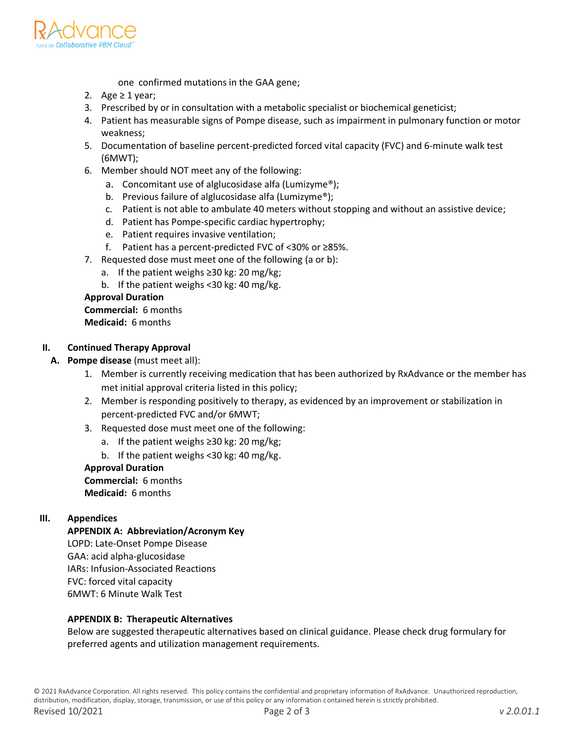

one confirmed mutations in the GAA gene;

- 2. Age  $\geq 1$  year;
- 3. Prescribed by or in consultation with a metabolic specialist or biochemical geneticist;
- 4. Patient has measurable signs of Pompe disease, such as impairment in pulmonary function or motor weakness;
- 5. Documentation of baseline percent-predicted forced vital capacity (FVC) and 6-minute walk test (6MWT);
- 6. Member should NOT meet any of the following:
	- a. Concomitant use of alglucosidase alfa (Lumizyme®);
	- b. Previous failure of alglucosidase alfa (Lumizyme®);
	- c. Patient is not able to ambulate 40 meters without stopping and without an assistive device;
	- d. Patient has Pompe-specific cardiac hypertrophy;
	- e. Patient requires invasive ventilation;
	- f. Patient has a percent-predicted FVC of <30% or ≥85%.
- 7. Requested dose must meet one of the following (a or b):
	- a. If the patient weighs ≥30 kg: 20 mg/kg;
	- b. If the patient weighs <30 kg: 40 mg/kg.

## **Approval Duration**

**Commercial:** 6 months

**Medicaid:** 6 months

## **II. Continued Therapy Approval**

- **A. Pompe disease** (must meet all):
	- 1. Member is currently receiving medication that has been authorized by RxAdvance or the member has met initial approval criteria listed in this policy;
	- 2. Member is responding positively to therapy, as evidenced by an improvement or stabilization in percent-predicted FVC and/or 6MWT;
	- 3. Requested dose must meet one of the following:
		- a. If the patient weighs ≥30 kg: 20 mg/kg;
		- b. If the patient weighs <30 kg: 40 mg/kg.

#### **Approval Duration**

**Commercial:** 6 months

**Medicaid:** 6 months

## **III. Appendices**

## **APPENDIX A: Abbreviation/Acronym Key**

LOPD: Late-Onset Pompe Disease GAA: acid alpha-glucosidase IARs: Infusion-Associated Reactions FVC: forced vital capacity 6MWT: 6 Minute Walk Test

## **APPENDIX B: Therapeutic Alternatives**

Below are suggested therapeutic alternatives based on clinical guidance. Please check drug formulary for preferred agents and utilization management requirements.